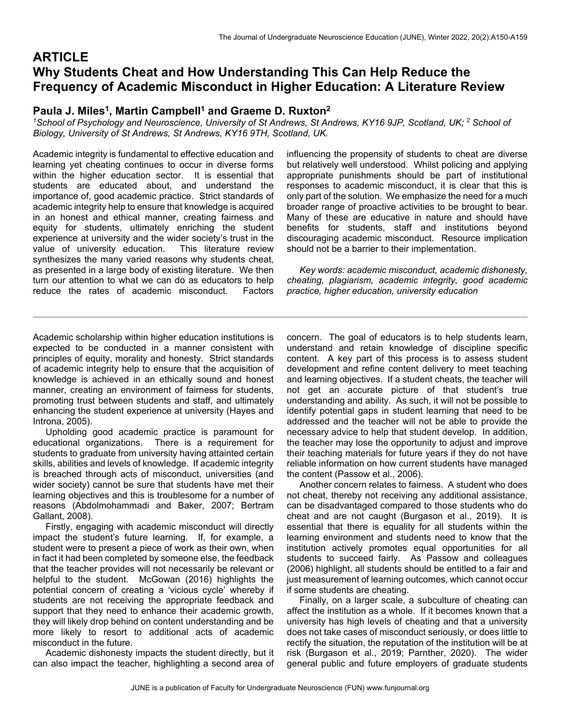# **ARTICLE Why Students Cheat and How Understanding This Can Help Reduce the Frequency of Academic Misconduct in Higher Education: A Literature Review**

## Paula J. Miles<sup>1</sup>, Martin Campbell<sup>1</sup> and Graeme D. Ruxton<sup>2</sup>

<sup>1</sup>School of Psychology and Neuroscience, University of St Andrews, St Andrews, KY16 9JP, Scotland, UK; <sup>2</sup> School of *Biology, University of St Andrews, St Andrews, KY16 9TH, Scotland, UK.* 

Academic integrity is fundamental to effective education and learning yet cheating continues to occur in diverse forms within the higher education sector. It is essential that students are educated about, and understand the importance of, good academic practice. Strict standards of academic integrity help to ensure that knowledge is acquired in an honest and ethical manner, creating fairness and equity for students, ultimately enriching the student experience at university and the wider society's trust in the value of university education. This literature review synthesizes the many varied reasons why students cheat, as presented in a large body of existing literature. We then turn our attention to what we can do as educators to help reduce the rates of academic misconduct. Factors

influencing the propensity of students to cheat are diverse but relatively well understood. Whilst policing and applying appropriate punishments should be part of institutional responses to academic misconduct, it is clear that this is only part of the solution. We emphasize the need for a much broader range of proactive activities to be brought to bear. Many of these are educative in nature and should have benefits for students, staff and institutions beyond discouraging academic misconduct. Resource implication should not be a barrier to their implementation.

 *Key words: academic misconduct, academic dishonesty, cheating, plagiarism, academic integrity, good academic practice, higher education, university education*

Academic scholarship within higher education institutions is expected to be conducted in a manner consistent with principles of equity, morality and honesty. Strict standards of academic integrity help to ensure that the acquisition of knowledge is achieved in an ethically sound and honest manner, creating an environment of fairness for students, promoting trust between students and staff, and ultimately enhancing the student experience at university (Hayes and Introna, 2005).

 Upholding good academic practice is paramount for educational organizations. There is a requirement for students to graduate from university having attainted certain skills, abilities and levels of knowledge. If academic integrity is breached through acts of misconduct, universities (and wider society) cannot be sure that students have met their learning objectives and this is troublesome for a number of reasons (Abdolmohammadi and Baker, 2007; Bertram Gallant, 2008).

 Firstly, engaging with academic misconduct will directly impact the student's future learning. If, for example, a student were to present a piece of work as their own, when in fact it had been completed by someone else, the feedback that the teacher provides will not necessarily be relevant or helpful to the student. McGowan (2016) highlights the potential concern of creating a 'vicious cycle' whereby if students are not receiving the appropriate feedback and support that they need to enhance their academic growth, they will likely drop behind on content understanding and be more likely to resort to additional acts of academic misconduct in the future.

 Academic dishonesty impacts the student directly, but it can also impact the teacher, highlighting a second area of concern. The goal of educators is to help students learn, understand and retain knowledge of discipline specific content. A key part of this process is to assess student development and refine content delivery to meet teaching and learning objectives. If a student cheats, the teacher will not get an accurate picture of that student's true understanding and ability. As such, it will not be possible to identify potential gaps in student learning that need to be addressed and the teacher will not be able to provide the necessary advice to help that student develop. In addition, the teacher may lose the opportunity to adjust and improve their teaching materials for future years if they do not have reliable information on how current students have managed the content (Passow et al., 2006).

 Another concern relates to fairness. A student who does not cheat, thereby not receiving any additional assistance, can be disadvantaged compared to those students who do cheat and are not caught (Burgason et al., 2019). It is essential that there is equality for all students within the learning environment and students need to know that the institution actively promotes equal opportunities for all students to succeed fairly. As Passow and colleagues (2006) highlight, all students should be entitled to a fair and just measurement of learning outcomes, which cannot occur if some students are cheating.

 Finally, on a larger scale, a subculture of cheating can affect the institution as a whole. If it becomes known that a university has high levels of cheating and that a university does not take cases of misconduct seriously, or does little to rectify the situation, the reputation of the institution will be at risk (Burgason et al., 2019; Parnther, 2020). The wider general public and future employers of graduate students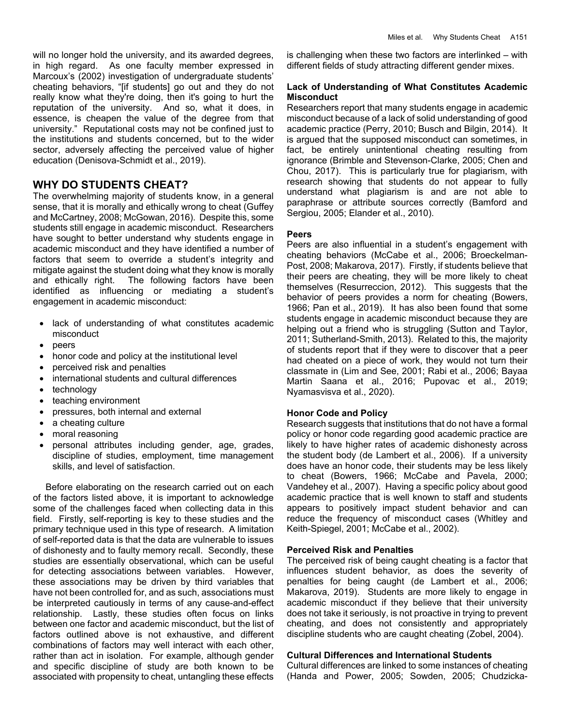will no longer hold the university, and its awarded degrees, in high regard. As one faculty member expressed in Marcoux's (2002) investigation of undergraduate students' cheating behaviors, "[if students] go out and they do not really know what they're doing, then it's going to hurt the reputation of the university. And so, what it does, in essence, is cheapen the value of the degree from that university." Reputational costs may not be confined just to the institutions and students concerned, but to the wider sector, adversely affecting the perceived value of higher education (Denisova-Schmidt et al., 2019).

## **WHY DO STUDENTS CHEAT?**

The overwhelming majority of students know, in a general sense, that it is morally and ethically wrong to cheat (Guffey and McCartney, 2008; McGowan, 2016). Despite this, some students still engage in academic misconduct. Researchers have sought to better understand why students engage in academic misconduct and they have identified a number of factors that seem to override a student's integrity and mitigate against the student doing what they know is morally and ethically right. The following factors have been identified as influencing or mediating a student's engagement in academic misconduct:

- lack of understanding of what constitutes academic misconduct
- peers
- honor code and policy at the institutional level
- perceived risk and penalties
- international students and cultural differences
- technology
- teaching environment
- pressures, both internal and external
- a cheating culture
- moral reasoning
- personal attributes including gender, age, grades, discipline of studies, employment, time management skills, and level of satisfaction.

 Before elaborating on the research carried out on each of the factors listed above, it is important to acknowledge some of the challenges faced when collecting data in this field. Firstly, self-reporting is key to these studies and the primary technique used in this type of research. A limitation of self-reported data is that the data are vulnerable to issues of dishonesty and to faulty memory recall. Secondly, these studies are essentially observational, which can be useful for detecting associations between variables. However, these associations may be driven by third variables that have not been controlled for, and as such, associations must be interpreted cautiously in terms of any cause-and-effect relationship. Lastly, these studies often focus on links between one factor and academic misconduct, but the list of factors outlined above is not exhaustive, and different combinations of factors may well interact with each other, rather than act in isolation. For example, although gender and specific discipline of study are both known to be associated with propensity to cheat, untangling these effects

is challenging when these two factors are interlinked – with different fields of study attracting different gender mixes.

## **Lack of Understanding of What Constitutes Academic Misconduct**

Researchers report that many students engage in academic misconduct because of a lack of solid understanding of good academic practice (Perry, 2010; Busch and Bilgin, 2014). It is argued that the supposed misconduct can sometimes, in fact, be entirely unintentional cheating resulting from ignorance (Brimble and Stevenson-Clarke, 2005; Chen and Chou, 2017). This is particularly true for plagiarism, with research showing that students do not appear to fully understand what plagiarism is and are not able to paraphrase or attribute sources correctly (Bamford and Sergiou, 2005; Elander et al., 2010).

### **Peers**

Peers are also influential in a student's engagement with cheating behaviors (McCabe et al., 2006; Broeckelman-Post, 2008; Makarova, 2017). Firstly, if students believe that their peers are cheating, they will be more likely to cheat themselves (Resurreccion, 2012). This suggests that the behavior of peers provides a norm for cheating (Bowers, 1966; Pan et al., 2019). It has also been found that some students engage in academic misconduct because they are helping out a friend who is struggling (Sutton and Taylor, 2011; Sutherland-Smith, 2013). Related to this, the majority of students report that if they were to discover that a peer had cheated on a piece of work, they would not turn their classmate in (Lim and See, 2001; Rabi et al., 2006; Bayaa Martin Saana et al., 2016; Pupovac et al., 2019; Nyamasvisva et al., 2020).

## **Honor Code and Policy**

Research suggests that institutions that do not have a formal policy or honor code regarding good academic practice are likely to have higher rates of academic dishonesty across the student body (de Lambert et al., 2006). If a university does have an honor code, their students may be less likely to cheat (Bowers, 1966; McCabe and Pavela, 2000; Vandehey et al., 2007). Having a specific policy about good academic practice that is well known to staff and students appears to positively impact student behavior and can reduce the frequency of misconduct cases (Whitley and Keith-Spiegel, 2001; McCabe et al., 2002).

## **Perceived Risk and Penalties**

The perceived risk of being caught cheating is a factor that influences student behavior, as does the severity of penalties for being caught (de Lambert et al., 2006; Makarova, 2019). Students are more likely to engage in academic misconduct if they believe that their university does not take it seriously, is not proactive in trying to prevent cheating, and does not consistently and appropriately discipline students who are caught cheating (Zobel, 2004).

## **Cultural Differences and International Students**

Cultural differences are linked to some instances of cheating (Handa and Power, 2005; Sowden, 2005; Chudzicka-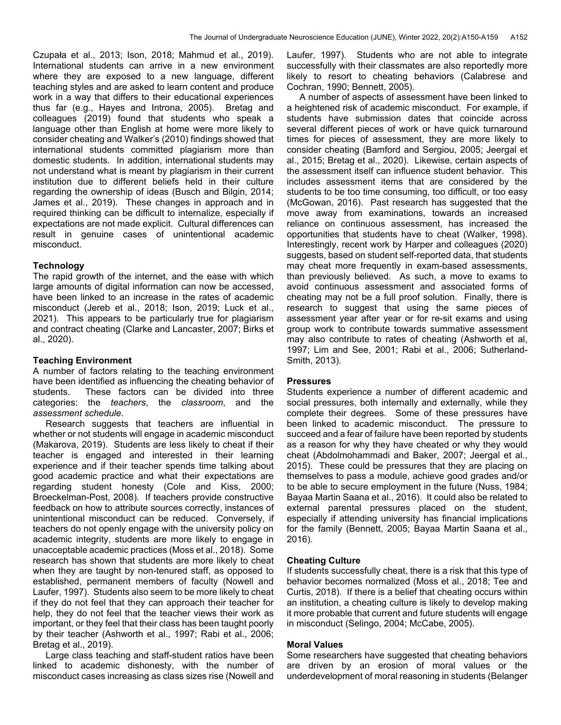Czupała et al., 2013; Ison, 2018; Mahmud et al., 2019). International students can arrive in a new environment where they are exposed to a new language, different teaching styles and are asked to learn content and produce work in a way that differs to their educational experiences thus far (e.g., Hayes and Introna, 2005). Bretag and colleagues (2019) found that students who speak a language other than English at home were more likely to consider cheating and Walker's (2010) findings showed that international students committed plagiarism more than domestic students. In addition, international students may not understand what is meant by plagiarism in their current institution due to different beliefs held in their culture regarding the ownership of ideas (Busch and Bilgin, 2014; James et al., 2019). These changes in approach and in required thinking can be difficult to internalize, especially if expectations are not made explicit. Cultural differences can result in genuine cases of unintentional academic misconduct.

#### **Technology**

The rapid growth of the internet, and the ease with which large amounts of digital information can now be accessed, have been linked to an increase in the rates of academic misconduct (Jereb et al., 2018; Ison, 2019; Luck et al., 2021). This appears to be particularly true for plagiarism and contract cheating (Clarke and Lancaster, 2007; Birks et al., 2020).

#### **Teaching Environment**

A number of factors relating to the teaching environment have been identified as influencing the cheating behavior of students. These factors can be divided into three categories: the *teachers*, the *classroom*, and the *assessment schedule*.

 Research suggests that teachers are influential in whether or not students will engage in academic misconduct (Makarova, 2019). Students are less likely to cheat if their teacher is engaged and interested in their learning experience and if their teacher spends time talking about good academic practice and what their expectations are regarding student honesty (Cole and Kiss, 2000; Broeckelman-Post, 2008). If teachers provide constructive feedback on how to attribute sources correctly, instances of unintentional misconduct can be reduced. Conversely, if teachers do not openly engage with the university policy on academic integrity, students are more likely to engage in unacceptable academic practices (Moss et al., 2018). Some research has shown that students are more likely to cheat when they are taught by non-tenured staff, as opposed to established, permanent members of faculty (Nowell and Laufer, 1997). Students also seem to be more likely to cheat if they do not feel that they can approach their teacher for help, they do not feel that the teacher views their work as important, or they feel that their class has been taught poorly by their teacher (Ashworth et al., 1997; Rabi et al., 2006; Bretag et al., 2019).

 Large class teaching and staff-student ratios have been linked to academic dishonesty, with the number of misconduct cases increasing as class sizes rise (Nowell and Laufer, 1997). Students who are not able to integrate successfully with their classmates are also reportedly more likely to resort to cheating behaviors (Calabrese and Cochran, 1990; Bennett, 2005).

 A number of aspects of assessment have been linked to a heightened risk of academic misconduct. For example, if students have submission dates that coincide across several different pieces of work or have quick turnaround times for pieces of assessment, they are more likely to consider cheating (Bamford and Sergiou, 2005; Jeergal et al., 2015; Bretag et al., 2020). Likewise, certain aspects of the assessment itself can influence student behavior. This includes assessment items that are considered by the students to be too time consuming, too difficult, or too easy (McGowan, 2016). Past research has suggested that the move away from examinations, towards an increased reliance on continuous assessment, has increased the opportunities that students have to cheat (Walker, 1998). Interestingly, recent work by Harper and colleagues (2020) suggests, based on student self-reported data, that students may cheat more frequently in exam-based assessments, than previously believed. As such, a move to exams to avoid continuous assessment and associated forms of cheating may not be a full proof solution. Finally, there is research to suggest that using the same pieces of assessment year after year or for re-sit exams and using group work to contribute towards summative assessment may also contribute to rates of cheating (Ashworth et al, 1997; Lim and See, 2001; Rabi et al., 2006; Sutherland-Smith, 2013).

#### **Pressures**

Students experience a number of different academic and social pressures, both internally and externally, while they complete their degrees. Some of these pressures have been linked to academic misconduct. The pressure to succeed and a fear of failure have been reported by students as a reason for why they have cheated or why they would cheat (Abdolmohammadi and Baker, 2007; Jeergal et al., 2015). These could be pressures that they are placing on themselves to pass a module, achieve good grades and/or to be able to secure employment in the future (Nuss, 1984; Bayaa Martin Saana et al., 2016). It could also be related to external parental pressures placed on the student, especially if attending university has financial implications for the family (Bennett, 2005; Bayaa Martin Saana et al., 2016).

#### **Cheating Culture**

If students successfully cheat, there is a risk that this type of behavior becomes normalized (Moss et al., 2018; Tee and Curtis, 2018). If there is a belief that cheating occurs within an institution, a cheating culture is likely to develop making it more probable that current and future students will engage in misconduct (Selingo, 2004; McCabe, 2005).

#### **Moral Values**

Some researchers have suggested that cheating behaviors are driven by an erosion of moral values or the underdevelopment of moral reasoning in students (Belanger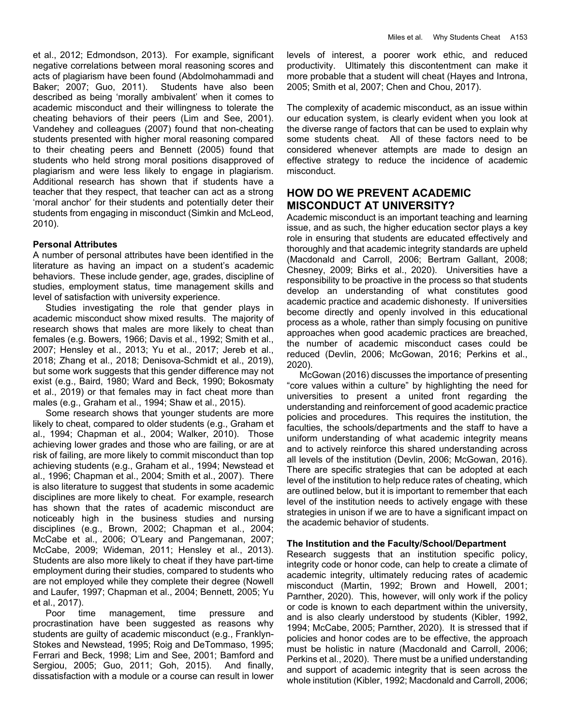et al., 2012; Edmondson, 2013). For example, significant negative correlations between moral reasoning scores and acts of plagiarism have been found (Abdolmohammadi and Baker; 2007; Guo, 2011). Students have also been described as being 'morally ambivalent' when it comes to academic misconduct and their willingness to tolerate the cheating behaviors of their peers (Lim and See, 2001). Vandehey and colleagues (2007) found that non-cheating students presented with higher moral reasoning compared to their cheating peers and Bennett (2005) found that students who held strong moral positions disapproved of plagiarism and were less likely to engage in plagiarism. Additional research has shown that if students have a teacher that they respect, that teacher can act as a strong 'moral anchor' for their students and potentially deter their students from engaging in misconduct (Simkin and McLeod, 2010).

### **Personal Attributes**

A number of personal attributes have been identified in the literature as having an impact on a student's academic behaviors. These include gender, age, grades, discipline of studies, employment status, time management skills and level of satisfaction with university experience.

 Studies investigating the role that gender plays in academic misconduct show mixed results. The majority of research shows that males are more likely to cheat than females (e.g. Bowers, 1966; Davis et al., 1992; Smith et al., 2007; Hensley et al., 2013; Yu et al., 2017; Jereb et al., 2018; Zhang et al., 2018; Denisova-Schmidt et al., 2019), but some work suggests that this gender difference may not exist (e.g., Baird, 1980; Ward and Beck, 1990; Bokosmaty et al., 2019) or that females may in fact cheat more than males (e.g., Graham et al., 1994; Shaw et al., 2015).

 Some research shows that younger students are more likely to cheat, compared to older students (e.g., Graham et al., 1994; Chapman et al., 2004; Walker, 2010). Those achieving lower grades and those who are failing, or are at risk of failing, are more likely to commit misconduct than top achieving students (e.g., Graham et al., 1994; Newstead et al., 1996; Chapman et al., 2004; Smith et al., 2007). There is also literature to suggest that students in some academic disciplines are more likely to cheat. For example, research has shown that the rates of academic misconduct are noticeably high in the business studies and nursing disciplines (e.g., Brown, 2002; Chapman et al., 2004; McCabe et al., 2006; O'Leary and Pangemanan, 2007; McCabe, 2009; Wideman, 2011; Hensley et al., 2013). Students are also more likely to cheat if they have part-time employment during their studies, compared to students who are not employed while they complete their degree (Nowell and Laufer, 1997; Chapman et al., 2004; Bennett, 2005; Yu et al., 2017).

 Poor time management, time pressure and procrastination have been suggested as reasons why students are guilty of academic misconduct (e.g., Franklyn-Stokes and Newstead, 1995; Roig and DeTommaso, 1995; Ferrari and Beck, 1998; Lim and See, 2001; Bamford and Sergiou, 2005; Guo, 2011; Goh, 2015). And finally, dissatisfaction with a module or a course can result in lower levels of interest, a poorer work ethic, and reduced productivity. Ultimately this discontentment can make it more probable that a student will cheat (Hayes and Introna, 2005; Smith et al, 2007; Chen and Chou, 2017).

The complexity of academic misconduct, as an issue within our education system, is clearly evident when you look at the diverse range of factors that can be used to explain why some students cheat. All of these factors need to be considered whenever attempts are made to design an effective strategy to reduce the incidence of academic misconduct.

## **HOW DO WE PREVENT ACADEMIC MISCONDUCT AT UNIVERSITY?**

Academic misconduct is an important teaching and learning issue, and as such, the higher education sector plays a key role in ensuring that students are educated effectively and thoroughly and that academic integrity standards are upheld (Macdonald and Carroll, 2006; Bertram Gallant, 2008; Chesney, 2009; Birks et al., 2020). Universities have a responsibility to be proactive in the process so that students develop an understanding of what constitutes good academic practice and academic dishonesty. If universities become directly and openly involved in this educational process as a whole, rather than simply focusing on punitive approaches when good academic practices are breached, the number of academic misconduct cases could be reduced (Devlin, 2006; McGowan, 2016; Perkins et al., 2020).

 McGowan (2016) discusses the importance of presenting "core values within a culture" by highlighting the need for universities to present a united front regarding the understanding and reinforcement of good academic practice policies and procedures. This requires the institution, the faculties, the schools/departments and the staff to have a uniform understanding of what academic integrity means and to actively reinforce this shared understanding across all levels of the institution (Devlin, 2006; McGowan, 2016). There are specific strategies that can be adopted at each level of the institution to help reduce rates of cheating, which are outlined below, but it is important to remember that each level of the institution needs to actively engage with these strategies in unison if we are to have a significant impact on the academic behavior of students.

## **The Institution and the Faculty/School/Department**

Research suggests that an institution specific policy, integrity code or honor code, can help to create a climate of academic integrity, ultimately reducing rates of academic misconduct (Martin, 1992; Brown and Howell, 2001; Parnther, 2020). This, however, will only work if the policy or code is known to each department within the university, and is also clearly understood by students (Kibler, 1992, 1994; McCabe, 2005; Parnther, 2020). It is stressed that if policies and honor codes are to be effective, the approach must be holistic in nature (Macdonald and Carroll, 2006; Perkins et al., 2020). There must be a unified understanding and support of academic integrity that is seen across the whole institution (Kibler, 1992; Macdonald and Carroll, 2006;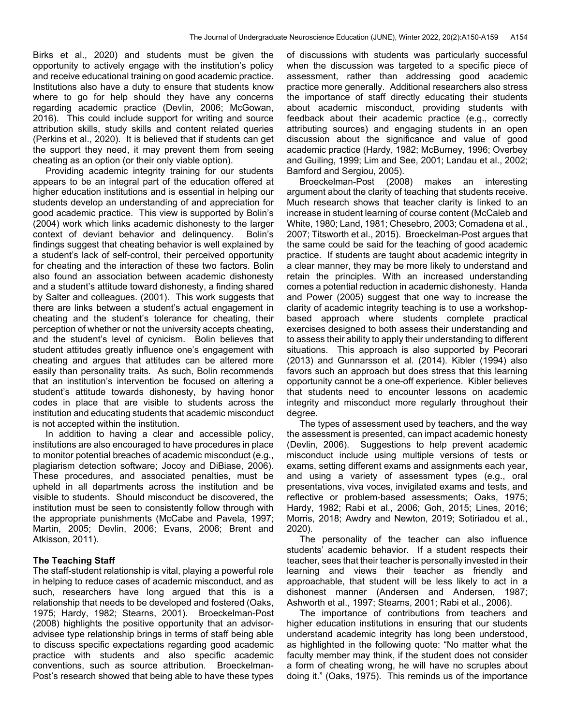Birks et al., 2020) and students must be given the opportunity to actively engage with the institution's policy and receive educational training on good academic practice. Institutions also have a duty to ensure that students know where to go for help should they have any concerns regarding academic practice (Devlin, 2006; McGowan, 2016). This could include support for writing and source attribution skills, study skills and content related queries (Perkins et al., 2020). It is believed that if students can get the support they need, it may prevent them from seeing cheating as an option (or their only viable option).

 Providing academic integrity training for our students appears to be an integral part of the education offered at higher education institutions and is essential in helping our students develop an understanding of and appreciation for good academic practice. This view is supported by Bolin's (2004) work which links academic dishonesty to the larger context of deviant behavior and delinquency. Bolin's findings suggest that cheating behavior is well explained by a student's lack of self-control, their perceived opportunity for cheating and the interaction of these two factors. Bolin also found an association between academic dishonesty and a student's attitude toward dishonesty, a finding shared by Salter and colleagues. (2001). This work suggests that there are links between a student's actual engagement in cheating and the student's tolerance for cheating, their perception of whether or not the university accepts cheating, and the student's level of cynicism. Bolin believes that student attitudes greatly influence one's engagement with cheating and argues that attitudes can be altered more easily than personality traits. As such, Bolin recommends that an institution's intervention be focused on altering a student's attitude towards dishonesty, by having honor codes in place that are visible to students across the institution and educating students that academic misconduct is not accepted within the institution.

 In addition to having a clear and accessible policy, institutions are also encouraged to have procedures in place to monitor potential breaches of academic misconduct (e.g., plagiarism detection software; Jocoy and DiBiase, 2006). These procedures, and associated penalties, must be upheld in all departments across the institution and be visible to students. Should misconduct be discovered, the institution must be seen to consistently follow through with the appropriate punishments (McCabe and Pavela, 1997; Martin, 2005; Devlin, 2006; Evans, 2006; Brent and Atkisson, 2011).

#### **The Teaching Staff**

The staff-student relationship is vital, playing a powerful role in helping to reduce cases of academic misconduct, and as such, researchers have long argued that this is a relationship that needs to be developed and fostered (Oaks, 1975; Hardy, 1982; Stearns, 2001). Broeckelman-Post (2008) highlights the positive opportunity that an advisoradvisee type relationship brings in terms of staff being able to discuss specific expectations regarding good academic practice with students and also specific academic conventions, such as source attribution. Broeckelman-Post's research showed that being able to have these types

of discussions with students was particularly successful when the discussion was targeted to a specific piece of assessment, rather than addressing good academic practice more generally. Additional researchers also stress the importance of staff directly educating their students about academic misconduct, providing students with feedback about their academic practice (e.g., correctly attributing sources) and engaging students in an open discussion about the significance and value of good academic practice (Hardy, 1982; McBurney, 1996; Overbey and Guiling, 1999; Lim and See, 2001; Landau et al., 2002; Bamford and Sergiou, 2005).

 Broeckelman-Post (2008) makes an interesting argument about the clarity of teaching that students receive. Much research shows that teacher clarity is linked to an increase in student learning of course content (McCaleb and White, 1980; Land, 1981; Chesebro, 2003; Comadena et al., 2007; Titsworth et al., 2015). Broeckelman-Post argues that the same could be said for the teaching of good academic practice. If students are taught about academic integrity in a clear manner, they may be more likely to understand and retain the principles. With an increased understanding comes a potential reduction in academic dishonesty. Handa and Power (2005) suggest that one way to increase the clarity of academic integrity teaching is to use a workshopbased approach where students complete practical exercises designed to both assess their understanding and to assess their ability to apply their understanding to different situations. This approach is also supported by Pecorari (2013) and Gunnarsson et al. (2014). Kibler (1994) also favors such an approach but does stress that this learning opportunity cannot be a one-off experience. Kibler believes that students need to encounter lessons on academic integrity and misconduct more regularly throughout their degree.

 The types of assessment used by teachers, and the way the assessment is presented, can impact academic honesty (Devlin, 2006). Suggestions to help prevent academic misconduct include using multiple versions of tests or exams, setting different exams and assignments each year, and using a variety of assessment types (e.g., oral presentations, viva voces, invigilated exams and tests, and reflective or problem-based assessments; Oaks, 1975; Hardy, 1982; Rabi et al., 2006; Goh, 2015; Lines, 2016; Morris, 2018; Awdry and Newton, 2019; Sotiriadou et al., 2020).

 The personality of the teacher can also influence students' academic behavior. If a student respects their teacher, sees that their teacher is personally invested in their learning and views their teacher as friendly and approachable, that student will be less likely to act in a dishonest manner (Andersen and Andersen, 1987; Ashworth et al., 1997; Stearns, 2001; Rabi et al., 2006).

 The importance of contributions from teachers and higher education institutions in ensuring that our students understand academic integrity has long been understood, as highlighted in the following quote: "No matter what the faculty member may think, if the student does not consider a form of cheating wrong, he will have no scruples about doing it." (Oaks, 1975). This reminds us of the importance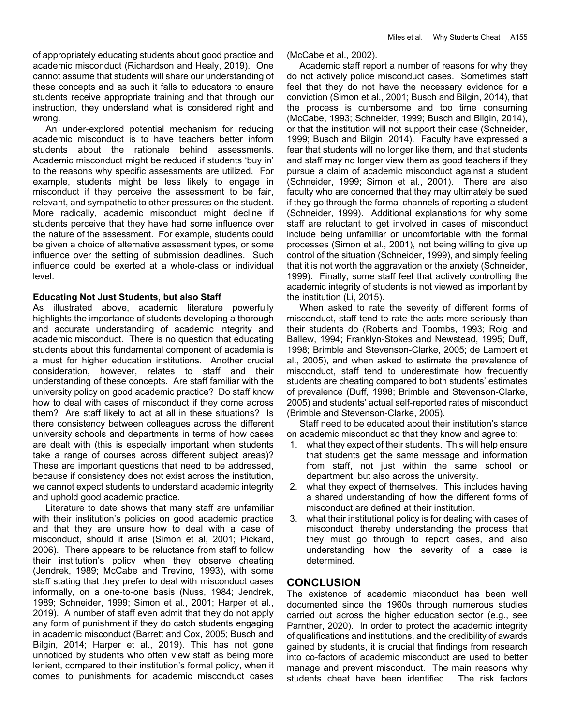An under-explored potential mechanism for reducing academic misconduct is to have teachers better inform students about the rationale behind assessments. Academic misconduct might be reduced if students 'buy in' to the reasons why specific assessments are utilized. For example, students might be less likely to engage in misconduct if they perceive the assessment to be fair, relevant, and sympathetic to other pressures on the student. More radically, academic misconduct might decline if students perceive that they have had some influence over the nature of the assessment. For example, students could be given a choice of alternative assessment types, or some influence over the setting of submission deadlines. Such influence could be exerted at a whole-class or individual level.

## **Educating Not Just Students, but also Staff**

As illustrated above, academic literature powerfully highlights the importance of students developing a thorough and accurate understanding of academic integrity and academic misconduct. There is no question that educating students about this fundamental component of academia is a must for higher education institutions. Another crucial consideration, however, relates to staff and their understanding of these concepts. Are staff familiar with the university policy on good academic practice? Do staff know how to deal with cases of misconduct if they come across them? Are staff likely to act at all in these situations? Is there consistency between colleagues across the different university schools and departments in terms of how cases are dealt with (this is especially important when students take a range of courses across different subject areas)? These are important questions that need to be addressed, because if consistency does not exist across the institution, we cannot expect students to understand academic integrity and uphold good academic practice.

 Literature to date shows that many staff are unfamiliar with their institution's policies on good academic practice and that they are unsure how to deal with a case of misconduct, should it arise (Simon et al, 2001; Pickard, 2006). There appears to be reluctance from staff to follow their institution's policy when they observe cheating (Jendrek, 1989; McCabe and Trevino, 1993), with some staff stating that they prefer to deal with misconduct cases informally, on a one-to-one basis (Nuss, 1984; Jendrek, 1989; Schneider, 1999; Simon et al., 2001; Harper et al., 2019). A number of staff even admit that they do not apply any form of punishment if they do catch students engaging in academic misconduct (Barrett and Cox, 2005; Busch and Bilgin, 2014; Harper et al., 2019). This has not gone unnoticed by students who often view staff as being more lenient, compared to their institution's formal policy, when it comes to punishments for academic misconduct cases (McCabe et al., 2002).

 Academic staff report a number of reasons for why they do not actively police misconduct cases. Sometimes staff feel that they do not have the necessary evidence for a conviction (Simon et al., 2001; Busch and Bilgin, 2014), that the process is cumbersome and too time consuming (McCabe, 1993; Schneider, 1999; Busch and Bilgin, 2014), or that the institution will not support their case (Schneider, 1999; Busch and Bilgin, 2014). Faculty have expressed a fear that students will no longer like them, and that students and staff may no longer view them as good teachers if they pursue a claim of academic misconduct against a student (Schneider, 1999; Simon et al., 2001). There are also faculty who are concerned that they may ultimately be sued if they go through the formal channels of reporting a student (Schneider, 1999). Additional explanations for why some staff are reluctant to get involved in cases of misconduct include being unfamiliar or uncomfortable with the formal processes (Simon et al., 2001), not being willing to give up control of the situation (Schneider, 1999), and simply feeling that it is not worth the aggravation or the anxiety (Schneider, 1999). Finally, some staff feel that actively controlling the academic integrity of students is not viewed as important by the institution (Li, 2015).

 When asked to rate the severity of different forms of misconduct, staff tend to rate the acts more seriously than their students do (Roberts and Toombs, 1993; Roig and Ballew, 1994; Franklyn-Stokes and Newstead, 1995; Duff, 1998; Brimble and Stevenson-Clarke, 2005; de Lambert et al., 2005), and when asked to estimate the prevalence of misconduct, staff tend to underestimate how frequently students are cheating compared to both students' estimates of prevalence (Duff, 1998; Brimble and Stevenson-Clarke, 2005) and students' actual self-reported rates of misconduct (Brimble and Stevenson-Clarke, 2005).

 Staff need to be educated about their institution's stance on academic misconduct so that they know and agree to:

- 1. what they expect of their students. This will help ensure that students get the same message and information from staff, not just within the same school or department, but also across the university.
- 2. what they expect of themselves. This includes having a shared understanding of how the different forms of misconduct are defined at their institution.
- 3. what their institutional policy is for dealing with cases of misconduct, thereby understanding the process that they must go through to report cases, and also understanding how the severity of a case is determined.

## **CONCLUSION**

The existence of academic misconduct has been well documented since the 1960s through numerous studies carried out across the higher education sector (e.g., see Parnther, 2020). In order to protect the academic integrity of qualifications and institutions, and the credibility of awards gained by students, it is crucial that findings from research into co-factors of academic misconduct are used to better manage and prevent misconduct. The main reasons why students cheat have been identified. The risk factors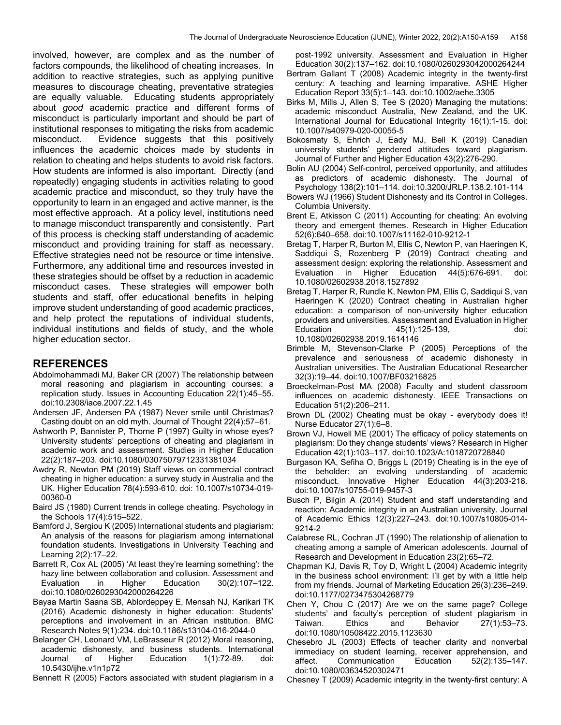involved, however, are complex and as the number of factors compounds, the likelihood of cheating increases. In addition to reactive strategies, such as applying punitive measures to discourage cheating, preventative strategies are equally valuable. Educating students appropriately about *good* academic practice and different forms of misconduct is particularly important and should be part of institutional responses to mitigating the risks from academic misconduct. Evidence suggests that this positively influences the academic choices made by students in relation to cheating and helps students to avoid risk factors. How students are informed is also important. Directly (and repeatedly) engaging students in activities relating to good academic practice and misconduct, so they truly have the opportunity to learn in an engaged and active manner, is the most effective approach. At a policy level, institutions need to manage misconduct transparently and consistently. Part of this process is checking staff understanding of academic misconduct and providing training for staff as necessary. Effective strategies need not be resource or time intensive. Furthermore, any additional time and resources invested in these strategies should be offset by a reduction in academic misconduct cases. These strategies will empower both students and staff, offer educational benefits in helping improve student understanding of good academic practices, and help protect the reputations of individual students, individual institutions and fields of study, and the whole higher education sector.

## **REFERENCES**

- Abdolmohammadi MJ, Baker CR (2007) The relationship between moral reasoning and plagiarism in accounting courses: a replication study. Issues in Accounting Education 22(1):45–55. doi:10.2308/iace.2007.22.1.45
- Andersen JF, Andersen PA (1987) Never smile until Christmas? Casting doubt on an old myth. Journal of Thought 22(4):57–61.
- Ashworth P, Bannister P, Thorne P (1997) Guilty in whose eyes? University students' perceptions of cheating and plagiarism in academic work and assessment. Studies in Higher Education 22(2):187–203. doi:10.1080/03075079712331381034
- Awdry R, Newton PM (2019) Staff views on commercial contract cheating in higher education: a survey study in Australia and the UK. Higher Education 78(4):593-610. doi: 10.1007/s10734-019- 00360-0
- Baird JS (1980) Current trends in college cheating. Psychology in the Schools 17(4):515–522.
- Bamford J, Sergiou K (2005) International students and plagiarism: An analysis of the reasons for plagiarism among international foundation students. Investigations in University Teaching and Learning 2(2):17–22.
- Barrett R, Cox AL (2005) 'At least they're learning something': the hazy line between collaboration and collusion. Assessment and Evaluation in Higher Education 30(2):107–122. doi:10.1080/0260293042000264226
- Bayaa Martin Saana SB, Ablordeppey E, Mensah NJ, Karikari TK (2016) Academic dishonesty in higher education: Students' perceptions and involvement in an African institution. BMC Research Notes 9(1):234. doi:10.1186/s13104-016-2044-0
- Belanger CH, Leonard VM, LeBrasseur R (2012) Moral reasoning, academic dishonesty, and business students. International Journal of Higher Education 1(1):72-89. doi: 10.5430/ijhe.v1n1p72

Bennett R (2005) Factors associated with student plagiarism in a

post-1992 university. Assessment and Evaluation in Higher Education 30(2):137–162. doi:10.1080/0260293042000264244

- Bertram Gallant T (2008) Academic integrity in the twenty-first century: A teaching and learning imparative. ASHE Higher Education Report 33(5):1–143. doi:10.1002/aehe.3305
- Birks M, Mills J, Allen S, Tee S (2020) Managing the mutations: academic misconduct Australia, New Zealand, and the UK. International Journal for Educational Integrity 16(1):1-15. doi: 10.1007/s40979-020-00055-5
- Bokosmaty S, Ehrich J, Eady MJ, Bell K (2019) Canadian university students' gendered attitudes toward plagiarism. Journal of Further and Higher Education 43(2):276-290.
- Bolin AU (2004) Self-control, perceived opportunity, and attitudes as predictors of academic dishonesty. The Journal of Psychology 138(2):101–114. doi:10.3200/JRLP.138.2.101-114
- Bowers WJ (1966) Student Dishonesty and its Control in Colleges. Columbia University.
- Brent E, Atkisson C (2011) Accounting for cheating: An evolving theory and emergent themes. Research in Higher Education 52(6):640–658. doi:10.1007/s11162-010-9212-1
- Bretag T, Harper R, Burton M, Ellis C, Newton P, van Haeringen K, Saddiqui S, Rozenberg P (2019) Contract cheating and assessment design: exploring the relationship. Assessment and Evaluation in Higher Education 44(5):676-691. doi: 10.1080/02602938.2018.1527892
- Bretag T, Harper R, Rundle K, Newton PM, Ellis C, Saddiqui S, van Haeringen K (2020) Contract cheating in Australian higher education: a comparison of non-university higher education providers and universities. Assessment and Evaluation in Higher Education 45(1):125-139, doi: 10.1080/02602938.2019.1614146
- Brimble M, Stevenson-Clarke P (2005) Perceptions of the prevalence and seriousness of academic dishonesty in Australian universities. The Australian Educational Researcher 32(3):19–44. doi:10.1007/BF03216825
- Broeckelman-Post MA (2008) Faculty and student classroom influences on academic dishonesty. IEEE Transactions on Education 51(2):206–211.
- Brown DL (2002) Cheating must be okay everybody does it! Nurse Educator 27(1):6–8.
- Brown VJ, Howell ME (2001) The efficacy of policy statements on plagiarism: Do they change students' views? Research in Higher Education 42(1):103–117. doi:10.1023/A:1018720728840
- Burgason KA, Sefiha O, Briggs L (2019) Cheating is in the eye of the beholder: an evolving understanding of academic misconduct. Innovative Higher Education 44(3):203-218. doi:10.1007/s10755-019-9457-3
- Busch P, Bilgin A (2014) Student and staff understanding and reaction: Academic integrity in an Australian university. Journal of Academic Ethics 12(3):227–243. doi:10.1007/s10805-014- 9214-2
- Calabrese RL, Cochran JT (1990) The relationship of alienation to cheating among a sample of American adolescents. Journal of Research and Development in Education 23(2):65–72.
- Chapman KJ, Davis R, Toy D, Wright L (2004) Academic integrity in the business school environment: I'll get by with a little help from my friends. Journal of Marketing Education 26(3):236–249. doi:10.1177/0273475304268779
- Chen Y, Chou C (2017) Are we on the same page? College students' and faculty's perception of student plagiarism in Taiwan. Ethics and Behavior 27(1):53–73. doi:10.1080/10508422.2015.1123630
- Chesebro JL (2003) Effects of teacher clarity and nonverbal immediacy on student learning, receiver apprehension, and affect. Communication Education 52(2):135–147. doi:10.1080/03634520302471
- Chesney T (2009) Academic integrity in the twenty-first century: A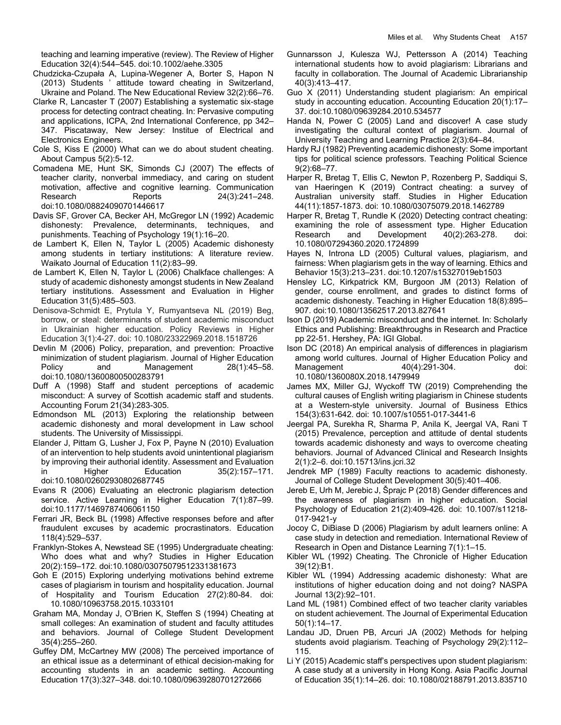teaching and learning imperative (review). The Review of Higher Education 32(4):544–545. doi:10.1002/aehe.3305

- Chudzicka-Czupała A, Lupina-Wegener A, Borter S, Hapon N (2013) Students ' attitude toward cheating in Switzerland, Ukraine and Poland. The New Educational Review 32(2):66–76.
- Clarke R, Lancaster T (2007) Establishing a systematic six-stage process for detecting contract cheating. In: Pervasive computing and applications, ICPA, 2nd International Conference, pp 342– 347. Piscataway, New Jersey: Institue of Electrical and Electronics Engineers.
- Cole S, Kiss E (2000) What can we do about student cheating. About Campus 5(2):5-12.
- Comadena ME, Hunt SK, Simonds CJ (2007) The effects of teacher clarity, nonverbal immediacy, and caring on student motivation, affective and cognitive learning. Communication Research Reports 24(3):241–248. doi:10.1080/08824090701446617
- Davis SF, Grover CA, Becker AH, McGregor LN (1992) Academic dishonesty: Prevalence, determinants, techniques, and punishments. Teaching of Psychology 19(1):16–20.
- de Lambert K, Ellen N, Taylor L (2005) Academic dishonesty among students in tertiary institutions: A literature review. Waikato Journal of Education 11(2):83–99.
- de Lambert K, Ellen N, Taylor L (2006) Chalkface challenges: A study of academic dishonesty amongst students in New Zealand tertiary institutions. Assessment and Evaluation in Higher Education 31(5):485–503.
- Denisova-Schmidt E, Prytula Y, Rumyantseva NL (2019) Beg, borrow, or steal: determinants of student academic misconduct in Ukrainian higher education. Policy Reviews in Higher Education 3(1):4-27. doi: 10.1080/23322969.2018.1518726
- Devlin M (2006) Policy, preparation, and prevention: Proactive minimization of student plagiarism. Journal of Higher Education Policy and Management 28(1):45–58. doi:10.1080/13600800500283791
- Duff A (1998) Staff and student perceptions of academic misconduct: A survey of Scottish academic staff and students. Accounting Forum 21(34):283-305.
- Edmondson ML (2013) Exploring the relationship between academic dishonesty and moral development in Law school students. The University of Mississippi.
- Elander J, Pittam G, Lusher J, Fox P, Payne N (2010) Evaluation of an intervention to help students avoid unintentional plagiarism by improving their authorial identity. Assessment and Evaluation in Higher Education 35(2):157–171. doi:10.1080/02602930802687745
- Evans R (2006) Evaluating an electronic plagiarism detection service. Active Learning in Higher Education 7(1):87–99. doi:10.1177/1469787406061150
- Ferrari JR, Beck BL (1998) Affective responses before and after fraudulent excuses by academic procrastinators. Education 118(4):529–537.
- Franklyn-Stokes A, Newstead SE (1995) Undergraduate cheating: Who does what and why? Studies in Higher Education 20(2):159–172. doi:10.1080/03075079512331381673
- Goh E (2015) Exploring underlying motivations behind extreme cases of plagiarism in tourism and hospitality education. Journal of Hospitality and Tourism Education 27(2):80-84. doi: 10.1080/10963758.2015.1033101
- Graham MA, Monday J, O'Brien K, Steffen S (1994) Cheating at small colleges: An examination of student and faculty attitudes and behaviors. Journal of College Student Development 35(4):255–260.
- Guffey DM, McCartney MW (2008) The perceived importance of an ethical issue as a determinant of ethical decision-making for accounting students in an academic setting. Accounting Education 17(3):327–348. doi:10.1080/09639280701272666
- Gunnarsson J, Kulesza WJ, Pettersson A (2014) Teaching international students how to avoid plagiarism: Librarians and faculty in collaboration. The Journal of Academic Librarianship 40(3):413–417.
- Guo X (2011) Understanding student plagiarism: An empirical study in accounting education. Accounting Education 20(1):17– 37. doi:10.1080/09639284.2010.534577
- Handa N, Power C (2005) Land and discover! A case study investigating the cultural context of plagiarism. Journal of University Teaching and Learning Practice 2(3):64–84.
- Hardy RJ (1982) Preventing academic dishonesty: Some important tips for political science professors. Teaching Political Science 9(2):68–77.
- Harper R, Bretag T, Ellis C, Newton P, Rozenberg P, Saddiqui S, van Haeringen K (2019) Contract cheating: a survey of Australian university staff. Studies in Higher Education 44(11):1857-1873. doi: 10.1080/03075079.2018.1462789
- Harper R, Bretag T, Rundle K (2020) Detecting contract cheating: examining the role of assessment type. Higher Education Research and Development 40(2):263-278. doi: 10.1080/07294360.2020.1724899
- Hayes N, Introna LD (2005) Cultural values, plagiarism, and fairness: When plagiarism gets in the way of learning. Ethics and Behavior 15(3):213–231. doi:10.1207/s15327019eb1503
- Hensley LC, Kirkpatrick KM, Burgoon JM (2013) Relation of gender, course enrollment, and grades to distinct forms of academic dishonesty. Teaching in Higher Education 18(8):895– 907. doi:10.1080/13562517.2013.827641
- Ison D (2019) Academic misconduct and the internet. In: Scholarly Ethics and Publishing: Breakthroughs in Research and Practice pp 22-51. Hershey, PA: IGI Global.
- Ison DC (2018) An empirical analysis of differences in plagiarism among world cultures. Journal of Higher Education Policy and Management 40(4):291-304. doi: 10.1080/1360080X.2018.1479949
- James MX, Miller GJ, Wyckoff TW (2019) Comprehending the cultural causes of English writing plagiarism in Chinese students at a Western-style university. Journal of Business Ethics 154(3):631-642. doi: 10.1007/s10551-017-3441-6
- Jeergal PA, Surekha R, Sharma P, Anila K, Jeergal VA, Rani T (2015) Prevalence, perception and attitude of dental students towards academic dishonesty and ways to overcome cheating behaviors. Journal of Advanced Clinical and Research Insights 2(1):2–6. doi:10.15713/ins.jcri.32
- Jendrek MP (1989) Faculty reactions to academic dishonesty. Journal of College Student Development 30(5):401–406.
- Jereb E, Urh M, Jerebic J, Šprajc P (2018) Gender differences and the awareness of plagiarism in higher education. Social Psychology of Education 21(2):409-426. doi: 10.1007/s11218- 017-9421-y
- Jocoy C, DiBiase D (2006) Plagiarism by adult learners online: A case study in detection and remediation. International Review of Research in Open and Distance Learning 7(1):1–15.
- Kibler WL (1992) Cheating. The Chronicle of Higher Education 39(12):B1.
- Kibler WL (1994) Addressing academic dishonesty: What are institutions of higher education doing and not doing? NASPA Journal 13(2):92–101.
- Land ML (1981) Combined effect of two teacher clarity variables on student achievement. The Journal of Experimental Education 50(1):14–17.
- Landau JD, Druen PB, Arcuri JA (2002) Methods for helping students avoid plagiarism. Teaching of Psychology 29(2):112– 115.
- Li Y (2015) Academic staff's perspectives upon student plagiarism: A case study at a university in Hong Kong. Asia Pacific Journal of Education 35(1):14–26. doi: 10.1080/02188791.2013.835710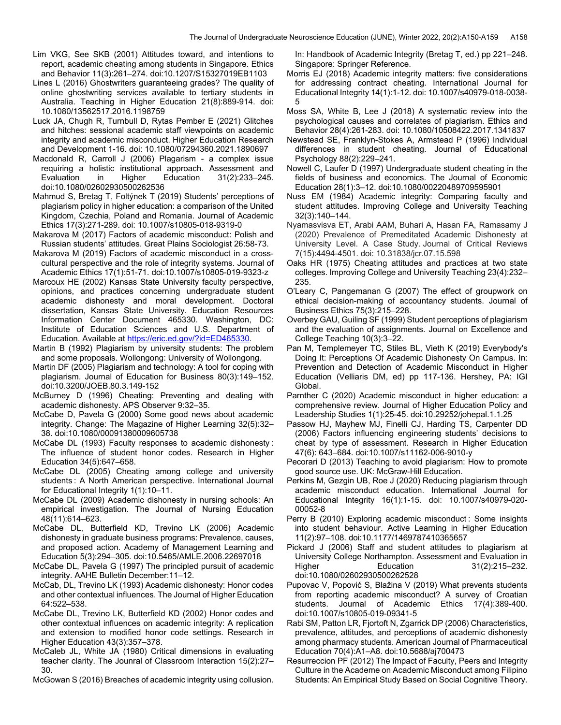- Lim VKG, See SKB (2001) Attitudes toward, and intentions to report, academic cheating among students in Singapore. Ethics and Behavior 11(3):261–274. doi:10.1207/S15327019EB1103
- Lines L (2016) Ghostwriters guaranteeing grades? The quality of online ghostwriting services available to tertiary students in Australia. Teaching in Higher Education 21(8):889-914. doi: 10.1080/13562517.2016.1198759
- Luck JA, Chugh R, Turnbull D, Rytas Pember E (2021) Glitches and hitches: sessional academic staff viewpoints on academic integrity and academic misconduct. Higher Education Research and Development 1-16. doi: 10.1080/07294360.2021.1890697
- Macdonald R, Carroll J (2006) Plagarism a complex issue requiring a holistic institutional approach. Assessment and Evaluation in Higher Education 31(2):233–245. doi:10.1080/02602930500262536
- Mahmud S, Bretag T, Foltýnek T (2019) Students' perceptions of plagiarism policy in higher education: a comparison of the United Kingdom, Czechia, Poland and Romania. Journal of Academic Ethics 17(3):271-289. doi: 10.1007/s10805-018-9319-0
- Makarova M (2017) Factors of academic misconduct: Polish and Russian students' attitudes. Great Plains Sociologist 26:58-73.
- Makarova M (2019) Factors of academic misconduct in a crosscultural perspective and the role of integrity systems. Journal of Academic Ethics 17(1):51-71. doi:10.1007/s10805-019-9323-z
- Marcoux HE (2002) Kansas State University faculty perspective, opinions, and practices concerning undergraduate student academic dishonesty and moral development. Doctoral dissertation, Kansas State University. Education Resources Information Center Document 465330. Washington, DC: Institute of Education Sciences and U.S. Department of Education. Available at https://eric.ed.gov/?id=ED465330.
- Martin B (1992) Plagiarism by university students: The problem and some proposals. Wollongong: University of Wollongong.
- Martin DF (2005) Plagiarism and technology: A tool for coping with plagiarism. Journal of Education for Business 80(3):149–152. doi:10.3200/JOEB.80.3.149-152
- McBurney D (1996) Cheating: Preventing and dealing with academic dishonesty. APS Observer 9:32–35.
- McCabe D, Pavela G (2000) Some good news about academic integrity. Change: The Magazine of Higher Learning 32(5):32– 38. doi:10.1080/00091380009605738
- McCabe DL (1993) Faculty responses to academic dishonesty : The influence of student honor codes. Research in Higher Education 34(5):647–658.
- McCabe DL (2005) Cheating among college and university students : A North American perspective. International Journal for Educational Integrity 1(1):10–11.
- McCabe DL (2009) Academic dishonesty in nursing schools: An empirical investigation. The Journal of Nursing Education 48(11):614–623.
- McCabe DL, Butterfield KD, Trevino LK (2006) Academic dishonesty in graduate business programs: Prevalence, causes, and proposed action. Academy of Management Learning and Education 5(3):294–305. doi:10.5465/AMLE.2006.22697018
- McCabe DL, Pavela G (1997) The principled pursuit of academic integrity. AAHE Bulletin December:11–12.
- McCab, DL, Trevino LK (1993) Academic dishonesty: Honor codes and other contextual influences. The Journal of Higher Education 64:522–538.
- McCabe DL, Trevino LK, Butterfield KD (2002) Honor codes and other contextual influences on academic integrity: A replication and extension to modified honor code settings. Research in Higher Education 43(3):357–378.
- McCaleb JL, White JA (1980) Critical dimensions in evaluating teacher clarity. The Jounral of Classroom Interaction 15(2):27– 30.

McGowan S (2016) Breaches of academic integrity using collusion.

In: Handbook of Academic Integrity (Bretag T, ed.) pp 221–248. Singapore: Springer Reference.

- Morris EJ (2018) Academic integrity matters: five considerations for addressing contract cheating. International Journal for Educational Integrity 14(1):1-12. doi: 10.1007/s40979-018-0038- 5
- Moss SA, White B, Lee J (2018) A systematic review into the psychological causes and correlates of plagiarism. Ethics and Behavior 28(4):261-283. doi: 10.1080/10508422.2017.1341837
- Newstead SE, Franklyn-Stokes A, Armstead P (1996) Individual differences in student cheating. Journal of Educational Psychology 88(2):229–241.
- Nowell C, Laufer D (1997) Undergraduate student cheating in the fields of business and economics. The Journal of Economic Education 28(1):3–12. doi:10.1080/00220489709595901
- Nuss EM (1984) Academic integrity: Comparing faculty and student attitudes. Improving College and University Teaching 32(3):140–144.
- Nyamasvisva ET, Arabi AAM, Buhari A, Hasan FA, Ramasamy J (2020) Prevalence of Premeditated Academic Dishonesty at University Level. A Case Study. Journal of Critical Reviews 7(15):4494-4501. doi: 10.31838/jcr.07.15.598
- Oaks HR (1975) Cheating attitudes and practices at two state colleges. Improving College and University Teaching 23(4):232– 235.
- O'Leary C, Pangemanan G (2007) The effect of groupwork on ethical decision-making of accountancy students. Journal of Business Ethics 75(3):215–228.
- Overbey GAU, Guiling SF (1999) Student perceptions of plagiarism and the evaluation of assignments. Journal on Excellence and College Teaching 10(3):3–22.
- Pan M, Templemeyer TC, Stiles BL, Vieth K (2019) Everybody's Doing It: Perceptions Of Academic Dishonesty On Campus. In: Prevention and Detection of Academic Misconduct in Higher Education (Velliaris DM, ed) pp 117-136. Hershey, PA: IGI Global.
- Parnther C (2020) Academic misconduct in higher education: a comprehensive review. Journal of Higher Education Policy and Leadership Studies 1(1):25-45. doi:10.29252/johepal.1.1.25
- Passow HJ, Mayhew MJ, Finelli CJ, Harding TS, Carpenter DD (2006) Factors influencing engineering students' decisions to cheat by type of assessment. Research in Higher Education 47(6): 643–684. doi:10.1007/s11162-006-9010-y
- Pecorari D (2013) Teaching to avoid plagiarism: How to promote good source use. UK: McGraw-Hill Education.
- Perkins M, Gezgin UB, Roe J (2020) Reducing plagiarism through academic misconduct education. International Journal for Educational Integrity 16(1):1-15. doi: 10.1007/s40979-020- 00052-8
- Perry B (2010) Exploring academic misconduct : Some insights into student behaviour. Active Learning in Higher Education 11(2):97–108. doi:10.1177/1469787410365657
- Pickard J (2006) Staff and student attitudes to plagiarism at University College Northampton. Assessment and Evaluation in Higher Education 31(2):215–232. doi:10.1080/02602930500262528
- Pupovac V, Popović S, Blažina V (2019) What prevents students from reporting academic misconduct? A survey of Croatian students. Journal of Academic Ethics 17(4):389-400. doi:10.1007/s10805-019-09341-5
- Rabi SM, Patton LR, Fjortoft N, Zgarrick DP (2006) Characteristics, prevalence, attitudes, and perceptions of academic dishonesty among pharmacy students. American Journal of Pharmaceutical Education 70(4):A1–A8. doi:10.5688/aj700473
- Resurreccion PF (2012) The Impact of Faculty, Peers and Integrity Culture in the Academe on Academic Misconduct among Filipino Students: An Empirical Study Based on Social Cognitive Theory.